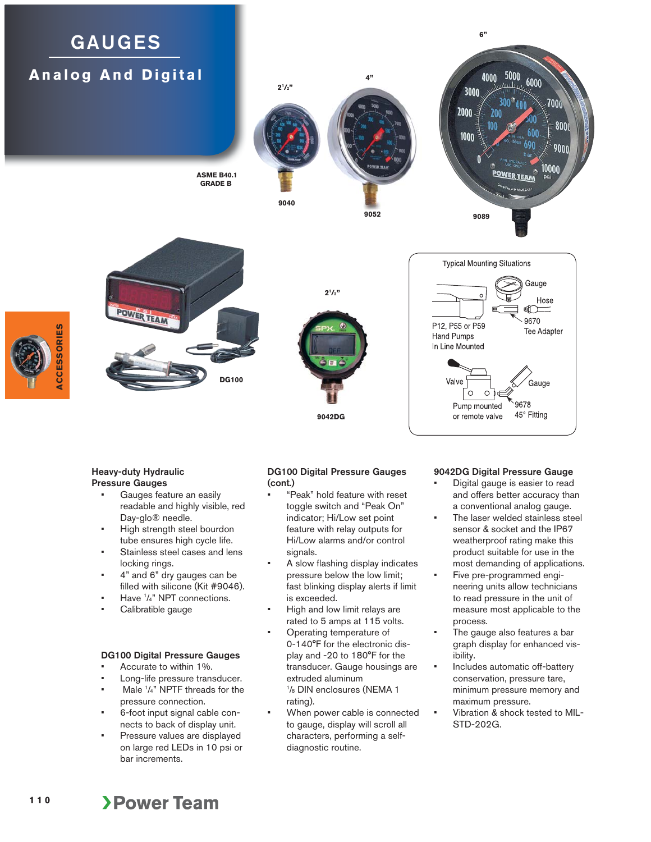# **GAUGES Analog And Digital**







 **ASME B40.1 GRADE B**

> **9042DG**  $2^{1}/2"$

#### **Typical Mounting Situations** Gauge Hose  $\bigoplus$ 9670 P12, P55 or P59 **Tee Adapter Hand Pumps** In Line Mounted Valve Gauge Ö 9678 Pump mounted 45° Fitting or remote valve

### **Heavy-duty Hydraulic Pressure Gauges**

**ACCESSORIES**

**ACCESSORIES** 

- Gauges feature an easily readable and highly visible, red Day-glo® needle.
- High strength steel bourdon tube ensures high cycle life.
- Stainless steel cases and lens locking rings.
- 4" and 6" dry gauges can be filled with silicone (Kit #9046).
- Have 1 /4" NPT connections.
- Calibratible gauge

# **DG100 Digital Pressure Gauges**

- Accurate to within 1%.
- Long-life pressure transducer. • Male <sup>1</sup>/<sub>4</sub>" NPTF threads for the pressure connection.
- 6-foot input signal cable connects to back of display unit.
- Pressure values are displayed on large red LEDs in 10 psi or bar increments.

# **DG100 Digital Pressure Gauges (cont.)**

- "Peak" hold feature with reset toggle switch and "Peak On" indicator; Hi/Low set point feature with relay outputs for Hi/Low alarms and/or control signals.
- A slow flashing display indicates pressure below the low limit; fast blinking display alerts if limit is exceeded.
- High and low limit relays are rated to 5 amps at 115 volts.
- Operating temperature of 0-140°F for the electronic display and -20 to 180°F for the transducer. Gauge housings are extruded aluminum 1 /8 DIN enclosures (NEMA 1 rating).
- When power cable is connected to gauge, display will scroll all characters, performing a selfdiagnostic routine.

# **9042DG Digital Pressure Gauge**

- Digital gauge is easier to read and offers better accuracy than a conventional analog gauge.
- The laser welded stainless steel sensor & socket and the IP67 weatherproof rating make this product suitable for use in the most demanding of applications.
- Five pre-programmed engineering units allow technicians to read pressure in the unit of measure most applicable to the process.
- The gauge also features a bar graph display for enhanced visibility.
- Includes automatic off-battery conservation, pressure tare, minimum pressure memory and maximum pressure.
- Vibration & shock tested to MIL-STD-202G.